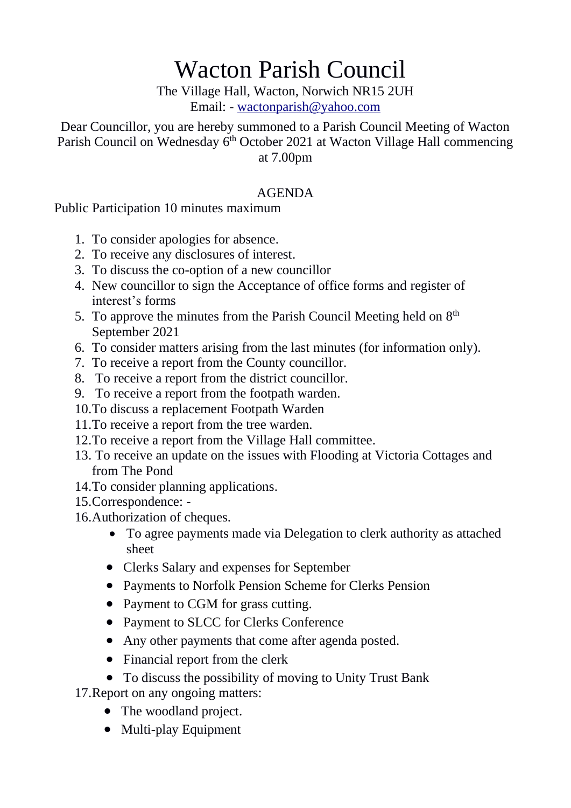## Wacton Parish Council

The Village Hall, Wacton, Norwich NR15 2UH Email: - [wactonparish@yahoo.com](mailto:wactonparish@yahoo.com)

Dear Councillor, you are hereby summoned to a Parish Council Meeting of Wacton Parish Council on Wednesday 6<sup>th</sup> October 2021 at Wacton Village Hall commencing at 7.00pm

## AGENDA

Public Participation 10 minutes maximum

- 1. To consider apologies for absence.
- 2. To receive any disclosures of interest.
- 3. To discuss the co-option of a new councillor
- 4. New councillor to sign the Acceptance of office forms and register of interest's forms
- 5. To approve the minutes from the Parish Council Meeting held on  $8<sup>th</sup>$ September 2021
- 6. To consider matters arising from the last minutes (for information only).
- 7. To receive a report from the County councillor.
- 8. To receive a report from the district councillor.
- 9. To receive a report from the footpath warden.
- 10.To discuss a replacement Footpath Warden
- 11.To receive a report from the tree warden.
- 12.To receive a report from the Village Hall committee.
- 13. To receive an update on the issues with Flooding at Victoria Cottages and from The Pond
- 14.To consider planning applications.
- 15.Correspondence: -
- 16.Authorization of cheques.
	- To agree payments made via Delegation to clerk authority as attached sheet
	- Clerks Salary and expenses for September
	- Payments to Norfolk Pension Scheme for Clerks Pension
	- Payment to CGM for grass cutting.
	- Payment to SLCC for Clerks Conference
	- Any other payments that come after agenda posted.
	- Financial report from the clerk
	- To discuss the possibility of moving to Unity Trust Bank

17.Report on any ongoing matters:

- The woodland project.
- Multi-play Equipment